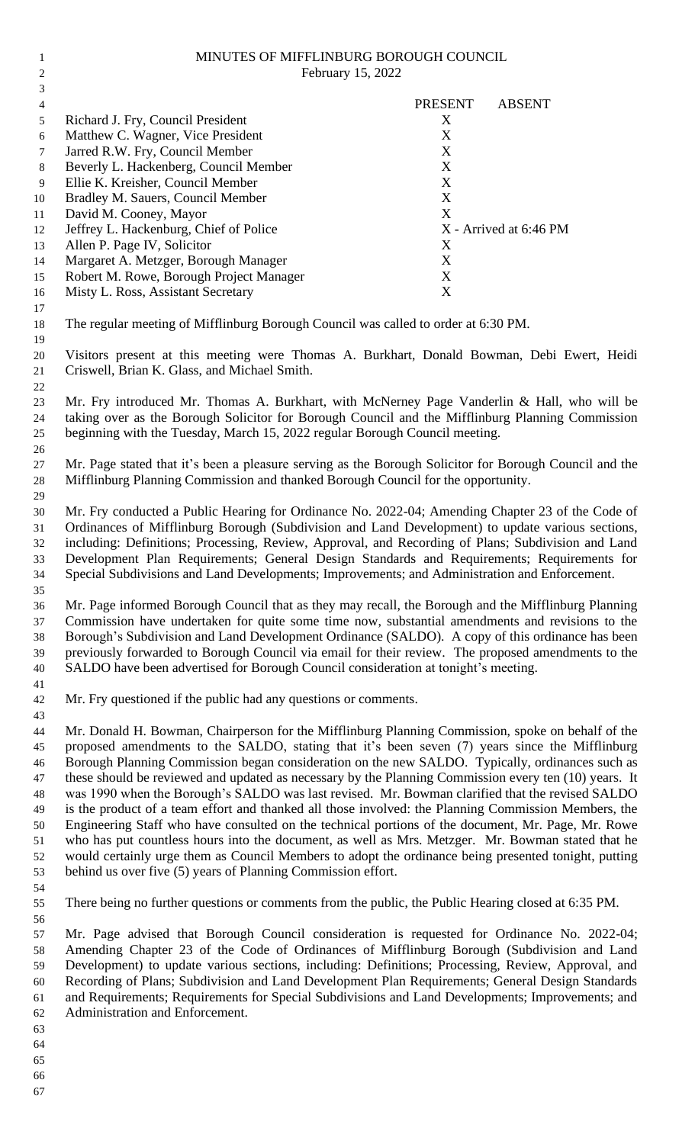| 1              | MINUTES OF MIFFLINBURG BOROUGH COUNCIL                                                                                                                                                                  |                |                        |  |
|----------------|---------------------------------------------------------------------------------------------------------------------------------------------------------------------------------------------------------|----------------|------------------------|--|
| $\overline{c}$ | February 15, 2022                                                                                                                                                                                       |                |                        |  |
| 3              |                                                                                                                                                                                                         |                |                        |  |
| 4              |                                                                                                                                                                                                         | <b>PRESENT</b> | <b>ABSENT</b>          |  |
| 5              | Richard J. Fry, Council President                                                                                                                                                                       | X<br>X         |                        |  |
| 6<br>7         | Matthew C. Wagner, Vice President<br>Jarred R.W. Fry, Council Member                                                                                                                                    | X              |                        |  |
| $8\,$          | Beverly L. Hackenberg, Council Member                                                                                                                                                                   | X              |                        |  |
| $\overline{9}$ | Ellie K. Kreisher, Council Member                                                                                                                                                                       | X              |                        |  |
| 10             | Bradley M. Sauers, Council Member                                                                                                                                                                       | X              |                        |  |
| 11             | David M. Cooney, Mayor                                                                                                                                                                                  | X              |                        |  |
| 12             | Jeffrey L. Hackenburg, Chief of Police                                                                                                                                                                  |                | X - Arrived at 6:46 PM |  |
| 13             | Allen P. Page IV, Solicitor                                                                                                                                                                             | X              |                        |  |
| 14             | Margaret A. Metzger, Borough Manager                                                                                                                                                                    | X              |                        |  |
| 15             | Robert M. Rowe, Borough Project Manager                                                                                                                                                                 | X              |                        |  |
| 16             | Misty L. Ross, Assistant Secretary                                                                                                                                                                      | X              |                        |  |
| 17             |                                                                                                                                                                                                         |                |                        |  |
| 18             | The regular meeting of Mifflinburg Borough Council was called to order at 6:30 PM.                                                                                                                      |                |                        |  |
| 19             | Visitors present at this meeting were Thomas A. Burkhart, Donald Bowman, Debi Ewert, Heidi                                                                                                              |                |                        |  |
| 20<br>21<br>22 | Criswell, Brian K. Glass, and Michael Smith.                                                                                                                                                            |                |                        |  |
| 23             | Mr. Fry introduced Mr. Thomas A. Burkhart, with McNerney Page Vanderlin & Hall, who will be                                                                                                             |                |                        |  |
| 24             | taking over as the Borough Solicitor for Borough Council and the Mifflinburg Planning Commission                                                                                                        |                |                        |  |
| 25             | beginning with the Tuesday, March 15, 2022 regular Borough Council meeting.                                                                                                                             |                |                        |  |
| 26             |                                                                                                                                                                                                         |                |                        |  |
| 27             | Mr. Page stated that it's been a pleasure serving as the Borough Solicitor for Borough Council and the                                                                                                  |                |                        |  |
| 28<br>29       | Mifflinburg Planning Commission and thanked Borough Council for the opportunity.                                                                                                                        |                |                        |  |
| 30             | Mr. Fry conducted a Public Hearing for Ordinance No. 2022-04; Amending Chapter 23 of the Code of                                                                                                        |                |                        |  |
| 31             | Ordinances of Mifflinburg Borough (Subdivision and Land Development) to update various sections,                                                                                                        |                |                        |  |
| 32             | including: Definitions; Processing, Review, Approval, and Recording of Plans; Subdivision and Land                                                                                                      |                |                        |  |
| 33             | Development Plan Requirements; General Design Standards and Requirements; Requirements for                                                                                                              |                |                        |  |
| 34             | Special Subdivisions and Land Developments; Improvements; and Administration and Enforcement.                                                                                                           |                |                        |  |
| 35<br>36       | Mr. Page informed Borough Council that as they may recall, the Borough and the Mifflinburg Planning                                                                                                     |                |                        |  |
| 37             | Commission have undertaken for quite some time now, substantial amendments and revisions to the                                                                                                         |                |                        |  |
| 38             | Borough's Subdivision and Land Development Ordinance (SALDO). A copy of this ordinance has been                                                                                                         |                |                        |  |
| 39             | previously forwarded to Borough Council via email for their review. The proposed amendments to the                                                                                                      |                |                        |  |
| 40             | SALDO have been advertised for Borough Council consideration at tonight's meeting.                                                                                                                      |                |                        |  |
| 41             |                                                                                                                                                                                                         |                |                        |  |
| 42             | Mr. Fry questioned if the public had any questions or comments.                                                                                                                                         |                |                        |  |
| 43             |                                                                                                                                                                                                         |                |                        |  |
| 44             | Mr. Donald H. Bowman, Chairperson for the Mifflinburg Planning Commission, spoke on behalf of the                                                                                                       |                |                        |  |
| 45             | proposed amendments to the SALDO, stating that it's been seven (7) years since the Mifflinburg                                                                                                          |                |                        |  |
| 46             | Borough Planning Commission began consideration on the new SALDO. Typically, ordinances such as                                                                                                         |                |                        |  |
| 47             | these should be reviewed and updated as necessary by the Planning Commission every ten (10) years. It                                                                                                   |                |                        |  |
| 48             | was 1990 when the Borough's SALDO was last revised. Mr. Bowman clarified that the revised SALDO<br>is the product of a team effort and thanked all those involved: the Planning Commission Members, the |                |                        |  |
| 49<br>50       | Engineering Staff who have consulted on the technical portions of the document, Mr. Page, Mr. Rowe                                                                                                      |                |                        |  |
| 51             | who has put countless hours into the document, as well as Mrs. Metzger. Mr. Bowman stated that he                                                                                                       |                |                        |  |
| 52             | would certainly urge them as Council Members to adopt the ordinance being presented tonight, putting                                                                                                    |                |                        |  |
| 53             | behind us over five (5) years of Planning Commission effort.                                                                                                                                            |                |                        |  |
| 54             |                                                                                                                                                                                                         |                |                        |  |
| 55             | There being no further questions or comments from the public, the Public Hearing closed at 6:35 PM.                                                                                                     |                |                        |  |
| 56             |                                                                                                                                                                                                         |                |                        |  |
| 57             | Mr. Page advised that Borough Council consideration is requested for Ordinance No. 2022-04;                                                                                                             |                |                        |  |
| 58             | Amending Chapter 23 of the Code of Ordinances of Mifflinburg Borough (Subdivision and Land                                                                                                              |                |                        |  |
| 59             | Development) to update various sections, including: Definitions; Processing, Review, Approval, and                                                                                                      |                |                        |  |
| 60             | Recording of Plans; Subdivision and Land Development Plan Requirements; General Design Standards                                                                                                        |                |                        |  |
| 61             | and Requirements; Requirements for Special Subdivisions and Land Developments; Improvements; and                                                                                                        |                |                        |  |
| 62             | Administration and Enforcement.                                                                                                                                                                         |                |                        |  |
| 63             |                                                                                                                                                                                                         |                |                        |  |

- 
- 
-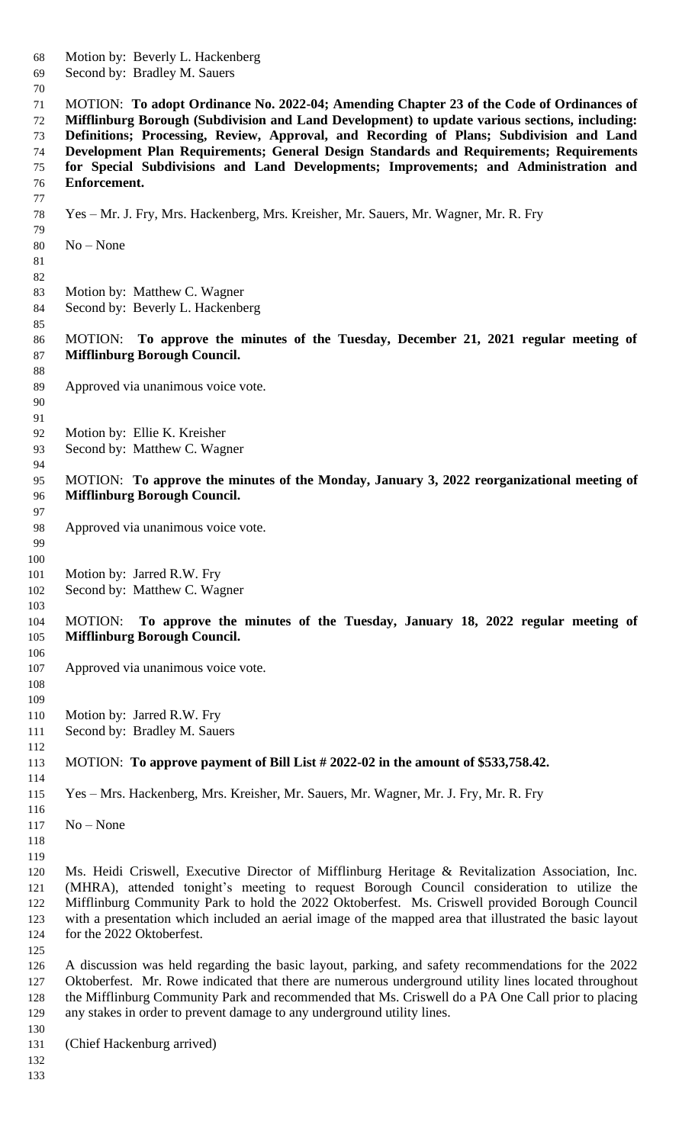Motion by: Beverly L. Hackenberg Second by: Bradley M. Sauers MOTION: **To adopt Ordinance No. 2022-04; Amending Chapter 23 of the Code of Ordinances of Mifflinburg Borough (Subdivision and Land Development) to update various sections, including: Definitions; Processing, Review, Approval, and Recording of Plans; Subdivision and Land Development Plan Requirements; General Design Standards and Requirements; Requirements for Special Subdivisions and Land Developments; Improvements; and Administration and Enforcement.**  Yes – Mr. J. Fry, Mrs. Hackenberg, Mrs. Kreisher, Mr. Sauers, Mr. Wagner, Mr. R. Fry No – None Motion by: Matthew C. Wagner Second by: Beverly L. Hackenberg MOTION: **To approve the minutes of the Tuesday, December 21, 2021 regular meeting of Mifflinburg Borough Council.** Approved via unanimous voice vote. Motion by: Ellie K. Kreisher Second by: Matthew C. Wagner MOTION: **To approve the minutes of the Monday, January 3, 2022 reorganizational meeting of Mifflinburg Borough Council.** Approved via unanimous voice vote. 101 Motion by: Jarred R.W. Fry Second by: Matthew C. Wagner MOTION: **To approve the minutes of the Tuesday, January 18, 2022 regular meeting of Mifflinburg Borough Council.** Approved via unanimous voice vote. 110 Motion by: Jarred R.W. Fry Second by: Bradley M. Sauers MOTION: **To approve payment of Bill List # 2022-02 in the amount of \$533,758.42.** Yes – Mrs. Hackenberg, Mrs. Kreisher, Mr. Sauers, Mr. Wagner, Mr. J. Fry, Mr. R. Fry No – None Ms. Heidi Criswell, Executive Director of Mifflinburg Heritage & Revitalization Association, Inc. (MHRA), attended tonight's meeting to request Borough Council consideration to utilize the Mifflinburg Community Park to hold the 2022 Oktoberfest. Ms. Criswell provided Borough Council with a presentation which included an aerial image of the mapped area that illustrated the basic layout for the 2022 Oktoberfest. A discussion was held regarding the basic layout, parking, and safety recommendations for the 2022 Oktoberfest. Mr. Rowe indicated that there are numerous underground utility lines located throughout the Mifflinburg Community Park and recommended that Ms. Criswell do a PA One Call prior to placing any stakes in order to prevent damage to any underground utility lines. (Chief Hackenburg arrived)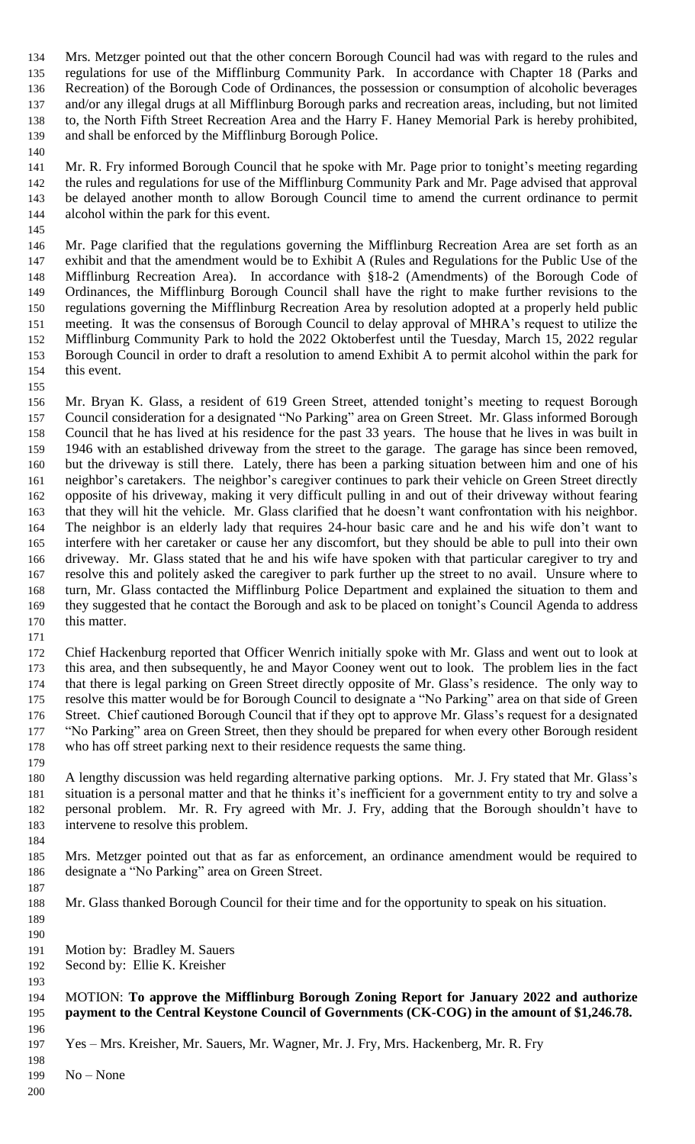Mrs. Metzger pointed out that the other concern Borough Council had was with regard to the rules and regulations for use of the Mifflinburg Community Park. In accordance with Chapter 18 (Parks and Recreation) of the Borough Code of Ordinances, the possession or consumption of alcoholic beverages and/or any illegal drugs at all Mifflinburg Borough parks and recreation areas, including, but not limited to, the North Fifth Street Recreation Area and the Harry F. Haney Memorial Park is hereby prohibited, and shall be enforced by the Mifflinburg Borough Police.

 Mr. R. Fry informed Borough Council that he spoke with Mr. Page prior to tonight's meeting regarding the rules and regulations for use of the Mifflinburg Community Park and Mr. Page advised that approval be delayed another month to allow Borough Council time to amend the current ordinance to permit alcohol within the park for this event.

 Mr. Page clarified that the regulations governing the Mifflinburg Recreation Area are set forth as an exhibit and that the amendment would be to Exhibit A (Rules and Regulations for the Public Use of the Mifflinburg Recreation Area). In accordance with §18-2 (Amendments) of the Borough Code of Ordinances, the Mifflinburg Borough Council shall have the right to make further revisions to the regulations governing the Mifflinburg Recreation Area by resolution adopted at a properly held public meeting. It was the consensus of Borough Council to delay approval of MHRA's request to utilize the Mifflinburg Community Park to hold the 2022 Oktoberfest until the Tuesday, March 15, 2022 regular Borough Council in order to draft a resolution to amend Exhibit A to permit alcohol within the park for this event.

 Mr. Bryan K. Glass, a resident of 619 Green Street, attended tonight's meeting to request Borough Council consideration for a designated "No Parking" area on Green Street. Mr. Glass informed Borough Council that he has lived at his residence for the past 33 years. The house that he lives in was built in 1946 with an established driveway from the street to the garage. The garage has since been removed, but the driveway is still there. Lately, there has been a parking situation between him and one of his neighbor's caretakers. The neighbor's caregiver continues to park their vehicle on Green Street directly opposite of his driveway, making it very difficult pulling in and out of their driveway without fearing that they will hit the vehicle. Mr. Glass clarified that he doesn't want confrontation with his neighbor. The neighbor is an elderly lady that requires 24-hour basic care and he and his wife don't want to interfere with her caretaker or cause her any discomfort, but they should be able to pull into their own driveway. Mr. Glass stated that he and his wife have spoken with that particular caregiver to try and resolve this and politely asked the caregiver to park further up the street to no avail. Unsure where to turn, Mr. Glass contacted the Mifflinburg Police Department and explained the situation to them and they suggested that he contact the Borough and ask to be placed on tonight's Council Agenda to address this matter. 

 Chief Hackenburg reported that Officer Wenrich initially spoke with Mr. Glass and went out to look at this area, and then subsequently, he and Mayor Cooney went out to look. The problem lies in the fact that there is legal parking on Green Street directly opposite of Mr. Glass's residence. The only way to resolve this matter would be for Borough Council to designate a "No Parking" area on that side of Green Street. Chief cautioned Borough Council that if they opt to approve Mr. Glass's request for a designated "No Parking" area on Green Street, then they should be prepared for when every other Borough resident who has off street parking next to their residence requests the same thing.

 A lengthy discussion was held regarding alternative parking options. Mr. J. Fry stated that Mr. Glass's situation is a personal matter and that he thinks it's inefficient for a government entity to try and solve a personal problem. Mr. R. Fry agreed with Mr. J. Fry, adding that the Borough shouldn't have to intervene to resolve this problem.

 Mrs. Metzger pointed out that as far as enforcement, an ordinance amendment would be required to designate a "No Parking" area on Green Street.

- Mr. Glass thanked Borough Council for their time and for the opportunity to speak on his situation.
- Motion by: Bradley M. Sauers
- Second by: Ellie K. Kreisher
- 

#### MOTION: **To approve the Mifflinburg Borough Zoning Report for January 2022 and authorize payment to the Central Keystone Council of Governments (CK-COG) in the amount of \$1,246.78.**

- Yes Mrs. Kreisher, Mr. Sauers, Mr. Wagner, Mr. J. Fry, Mrs. Hackenberg, Mr. R. Fry
- No – None
-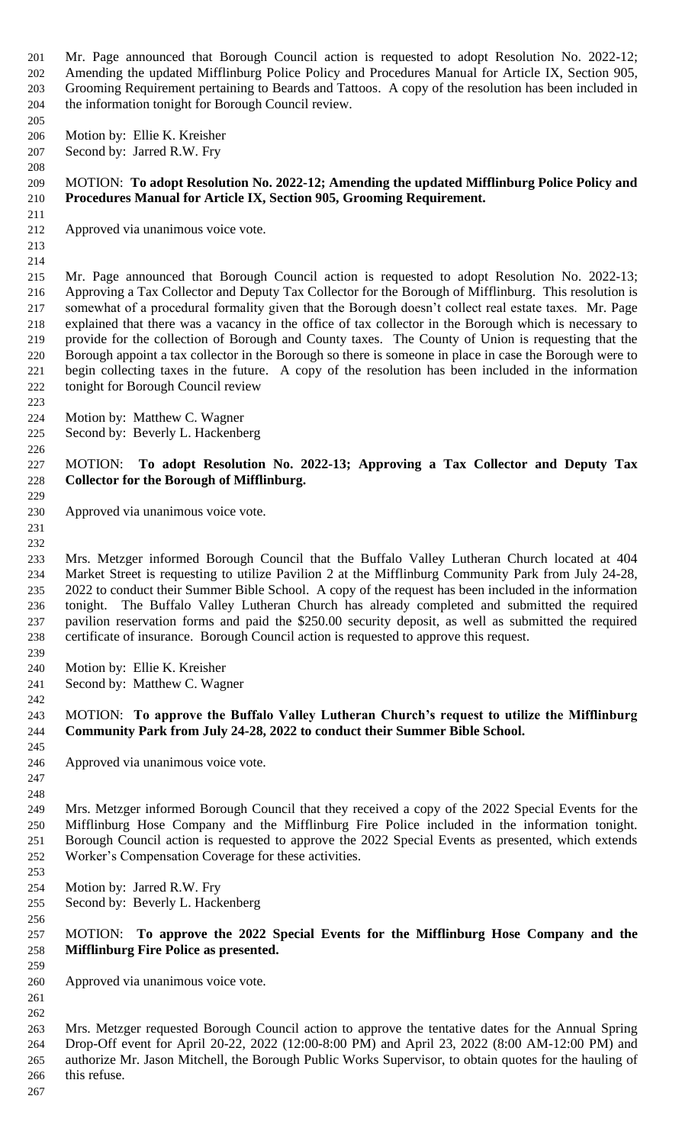Mr. Page announced that Borough Council action is requested to adopt Resolution No. 2022-12; Amending the updated Mifflinburg Police Policy and Procedures Manual for Article IX, Section 905, Grooming Requirement pertaining to Beards and Tattoos. A copy of the resolution has been included in the information tonight for Borough Council review.

Motion by: Ellie K. Kreisher

Second by: Jarred R.W. Fry

### MOTION: **To adopt Resolution No. 2022-12; Amending the updated Mifflinburg Police Policy and Procedures Manual for Article IX, Section 905, Grooming Requirement.**

- Approved via unanimous voice vote.
- 

 Mr. Page announced that Borough Council action is requested to adopt Resolution No. 2022-13; Approving a Tax Collector and Deputy Tax Collector for the Borough of Mifflinburg. This resolution is somewhat of a procedural formality given that the Borough doesn't collect real estate taxes. Mr. Page explained that there was a vacancy in the office of tax collector in the Borough which is necessary to provide for the collection of Borough and County taxes. The County of Union is requesting that the Borough appoint a tax collector in the Borough so there is someone in place in case the Borough were to begin collecting taxes in the future. A copy of the resolution has been included in the information tonight for Borough Council review

- Motion by: Matthew C. Wagner
- Second by: Beverly L. Hackenberg

#### MOTION: **To adopt Resolution No. 2022-13; Approving a Tax Collector and Deputy Tax Collector for the Borough of Mifflinburg.**

- Approved via unanimous voice vote.
- 

 Mrs. Metzger informed Borough Council that the Buffalo Valley Lutheran Church located at 404 Market Street is requesting to utilize Pavilion 2 at the Mifflinburg Community Park from July 24-28, 2022 to conduct their Summer Bible School. A copy of the request has been included in the information tonight. The Buffalo Valley Lutheran Church has already completed and submitted the required pavilion reservation forms and paid the \$250.00 security deposit, as well as submitted the required certificate of insurance. Borough Council action is requested to approve this request.

- Motion by: Ellie K. Kreisher
- Second by: Matthew C. Wagner

#### MOTION: **To approve the Buffalo Valley Lutheran Church's request to utilize the Mifflinburg Community Park from July 24-28, 2022 to conduct their Summer Bible School.**

- Approved via unanimous voice vote.
- 

 Mrs. Metzger informed Borough Council that they received a copy of the 2022 Special Events for the Mifflinburg Hose Company and the Mifflinburg Fire Police included in the information tonight. Borough Council action is requested to approve the 2022 Special Events as presented, which extends Worker's Compensation Coverage for these activities.

- Motion by: Jarred R.W. Fry
- Second by: Beverly L. Hackenberg

# MOTION: **To approve the 2022 Special Events for the Mifflinburg Hose Company and the Mifflinburg Fire Police as presented.**

Approved via unanimous voice vote.

 

 Mrs. Metzger requested Borough Council action to approve the tentative dates for the Annual Spring Drop-Off event for April 20-22, 2022 (12:00-8:00 PM) and April 23, 2022 (8:00 AM-12:00 PM) and authorize Mr. Jason Mitchell, the Borough Public Works Supervisor, to obtain quotes for the hauling of this refuse.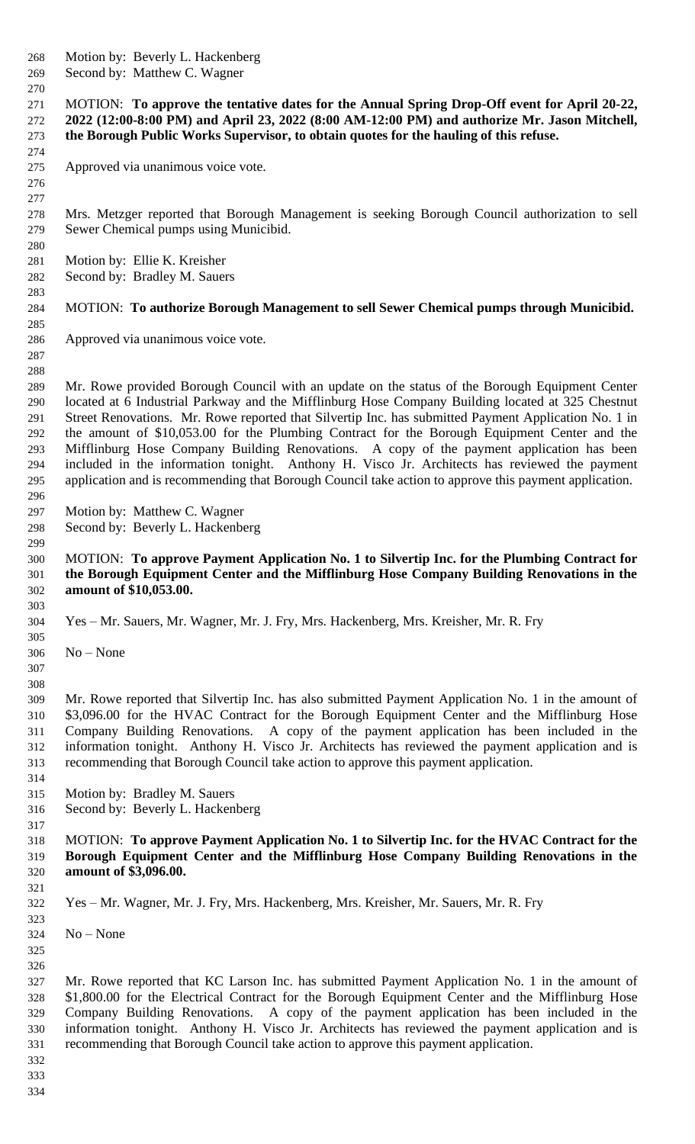- Motion by: Beverly L. Hackenberg
- Second by: Matthew C. Wagner

 MOTION: **To approve the tentative dates for the Annual Spring Drop-Off event for April 20-22, 2022 (12:00-8:00 PM) and April 23, 2022 (8:00 AM-12:00 PM) and authorize Mr. Jason Mitchell, the Borough Public Works Supervisor, to obtain quotes for the hauling of this refuse.**

Approved via unanimous voice vote.

 

 Mrs. Metzger reported that Borough Management is seeking Borough Council authorization to sell Sewer Chemical pumps using Municibid.

- Motion by: Ellie K. Kreisher
- Second by: Bradley M. Sauers

# MOTION: **To authorize Borough Management to sell Sewer Chemical pumps through Municibid.**

- Approved via unanimous voice vote.
- 

 Mr. Rowe provided Borough Council with an update on the status of the Borough Equipment Center located at 6 Industrial Parkway and the Mifflinburg Hose Company Building located at 325 Chestnut Street Renovations. Mr. Rowe reported that Silvertip Inc. has submitted Payment Application No. 1 in the amount of \$10,053.00 for the Plumbing Contract for the Borough Equipment Center and the Mifflinburg Hose Company Building Renovations. A copy of the payment application has been included in the information tonight. Anthony H. Visco Jr. Architects has reviewed the payment application and is recommending that Borough Council take action to approve this payment application.

- Motion by: Matthew C. Wagner
- Second by: Beverly L. Hackenberg

 MOTION: **To approve Payment Application No. 1 to Silvertip Inc. for the Plumbing Contract for the Borough Equipment Center and the Mifflinburg Hose Company Building Renovations in the amount of \$10,053.00.** 

Yes – Mr. Sauers, Mr. Wagner, Mr. J. Fry, Mrs. Hackenberg, Mrs. Kreisher, Mr. R. Fry

- No None
- 

 Mr. Rowe reported that Silvertip Inc. has also submitted Payment Application No. 1 in the amount of \$3,096.00 for the HVAC Contract for the Borough Equipment Center and the Mifflinburg Hose Company Building Renovations. A copy of the payment application has been included in the 312 information tonight. Anthony H. Visco Jr. Architects has reviewed the payment application and is recommending that Borough Council take action to approve this payment application.

- Motion by: Bradley M. Sauers
- Second by: Beverly L. Hackenberg
- MOTION: **To approve Payment Application No. 1 to Silvertip Inc. for the HVAC Contract for the Borough Equipment Center and the Mifflinburg Hose Company Building Renovations in the amount of \$3,096.00.**
- 
- Yes Mr. Wagner, Mr. J. Fry, Mrs. Hackenberg, Mrs. Kreisher, Mr. Sauers, Mr. R. Fry

No – None

 

 Mr. Rowe reported that KC Larson Inc. has submitted Payment Application No. 1 in the amount of \$1,800.00 for the Electrical Contract for the Borough Equipment Center and the Mifflinburg Hose Company Building Renovations. A copy of the payment application has been included in the information tonight. Anthony H. Visco Jr. Architects has reviewed the payment application and is recommending that Borough Council take action to approve this payment application.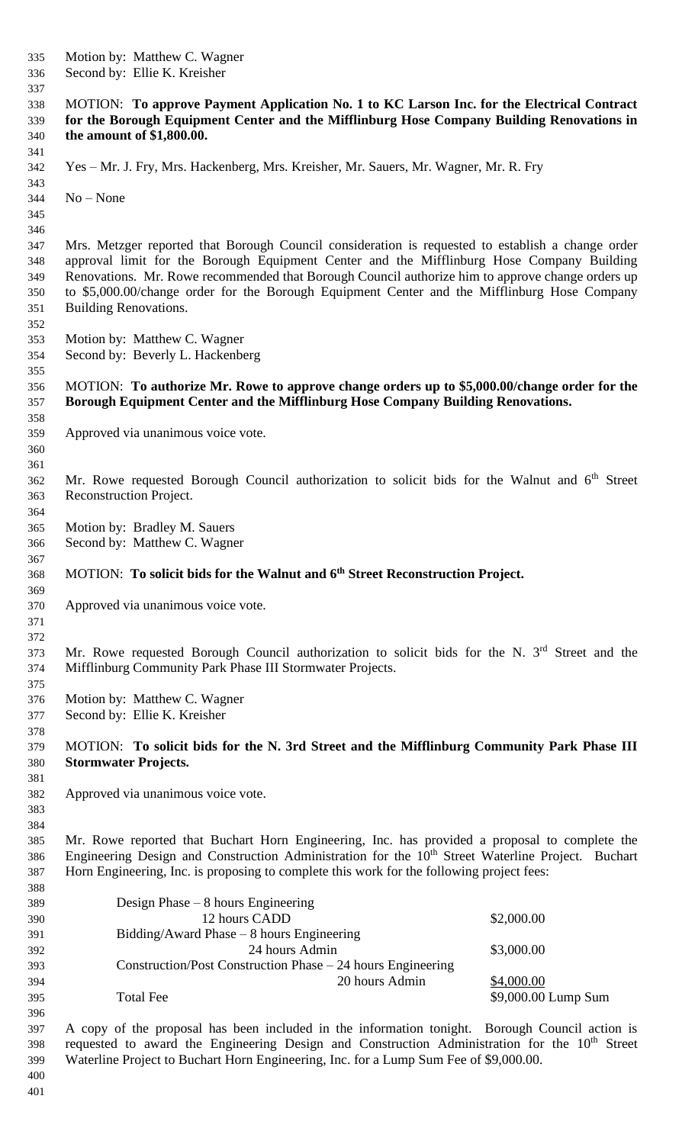Motion by: Matthew C. Wagner Second by: Ellie K. Kreisher MOTION: **To approve Payment Application No. 1 to KC Larson Inc. for the Electrical Contract for the Borough Equipment Center and the Mifflinburg Hose Company Building Renovations in the amount of \$1,800.00.**  Yes – Mr. J. Fry, Mrs. Hackenberg, Mrs. Kreisher, Mr. Sauers, Mr. Wagner, Mr. R. Fry No – None Mrs. Metzger reported that Borough Council consideration is requested to establish a change order approval limit for the Borough Equipment Center and the Mifflinburg Hose Company Building Renovations. Mr. Rowe recommended that Borough Council authorize him to approve change orders up to \$5,000.00/change order for the Borough Equipment Center and the Mifflinburg Hose Company Building Renovations. Motion by: Matthew C. Wagner Second by: Beverly L. Hackenberg MOTION: **To authorize Mr. Rowe to approve change orders up to \$5,000.00/change order for the Borough Equipment Center and the Mifflinburg Hose Company Building Renovations.** Approved via unanimous voice vote. 362 Mr. Rowe requested Borough Council authorization to solicit bids for the Walnut and  $6<sup>th</sup>$  Street Reconstruction Project. Motion by: Bradley M. Sauers Second by: Matthew C. Wagner MOTION: **To solicit bids for the Walnut and 6th Street Reconstruction Project.** Approved via unanimous voice vote. 373 Mr. Rowe requested Borough Council authorization to solicit bids for the N.  $3<sup>rd</sup>$  Street and the Mifflinburg Community Park Phase III Stormwater Projects. Motion by: Matthew C. Wagner Second by: Ellie K. Kreisher MOTION: **To solicit bids for the N. 3rd Street and the Mifflinburg Community Park Phase III Stormwater Projects.** Approved via unanimous voice vote. Mr. Rowe reported that Buchart Horn Engineering, Inc. has provided a proposal to complete the 386 Engineering Design and Construction Administration for the 10<sup>th</sup> Street Waterline Project. Buchart Horn Engineering, Inc. is proposing to complete this work for the following project fees: Design Phase – 8 hours Engineering 390 12 hours CADD \$2,000.00 Bidding/Award Phase – 8 hours Engineering 24 hours Admin \$3,000.00 Construction/Post Construction Phase – 24 hours Engineering 20 hours Admin \$4,000.00 Total Fee \$9,000.00 Lump Sum A copy of the proposal has been included in the information tonight. Borough Council action is requested to award the Engineering Design and Construction Administration for the  $10<sup>th</sup>$  Street Waterline Project to Buchart Horn Engineering, Inc. for a Lump Sum Fee of \$9,000.00.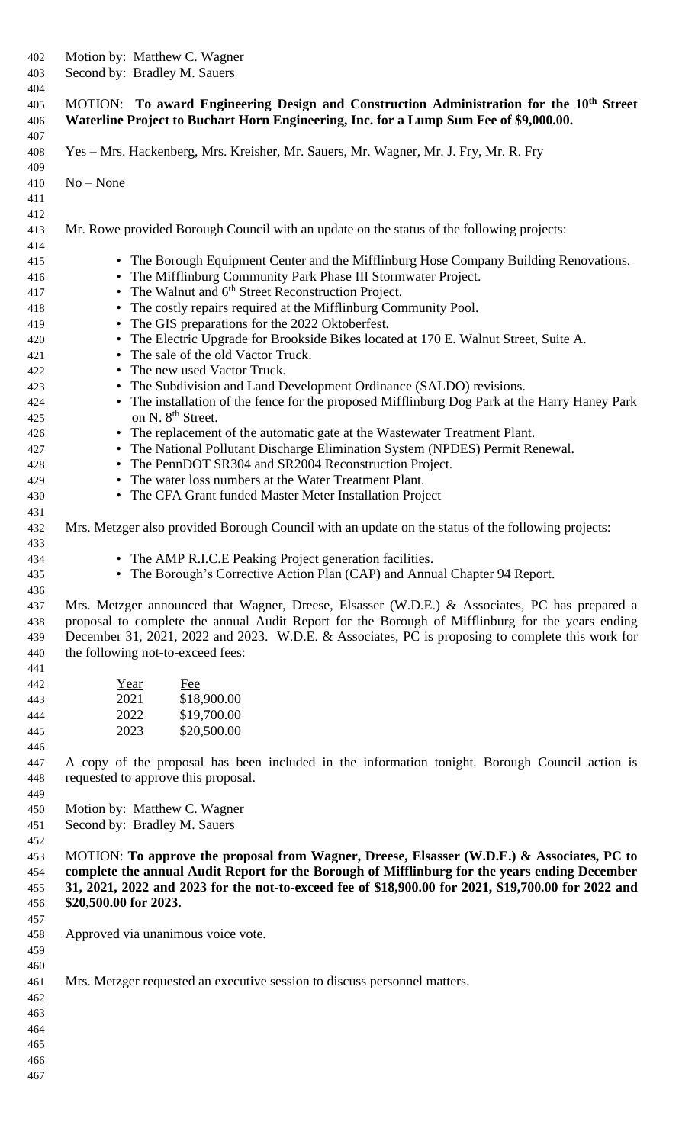| 402<br>403               | Motion by: Matthew C. Wagner<br>Second by: Bradley M. Sauers                                                                                                                                 |  |  |
|--------------------------|----------------------------------------------------------------------------------------------------------------------------------------------------------------------------------------------|--|--|
| 404<br>405<br>406<br>407 | MOTION: To award Engineering Design and Construction Administration for the 10 <sup>th</sup> Street<br>Waterline Project to Buchart Horn Engineering, Inc. for a Lump Sum Fee of \$9,000.00. |  |  |
| 408<br>409               | Yes – Mrs. Hackenberg, Mrs. Kreisher, Mr. Sauers, Mr. Wagner, Mr. J. Fry, Mr. R. Fry                                                                                                         |  |  |
| 410<br>411               | $No - None$                                                                                                                                                                                  |  |  |
| 412<br>413               | Mr. Rowe provided Borough Council with an update on the status of the following projects:                                                                                                    |  |  |
| 414<br>415               | • The Borough Equipment Center and the Mifflinburg Hose Company Building Renovations.                                                                                                        |  |  |
| 416                      | • The Mifflinburg Community Park Phase III Stormwater Project.<br>• The Walnut and 6 <sup>th</sup> Street Reconstruction Project.                                                            |  |  |
| 417                      | • The costly repairs required at the Mifflinburg Community Pool.                                                                                                                             |  |  |
| 418<br>419               | • The GIS preparations for the 2022 Oktoberfest.                                                                                                                                             |  |  |
| 420                      | • The Electric Upgrade for Brookside Bikes located at 170 E. Walnut Street, Suite A.                                                                                                         |  |  |
| 421                      | • The sale of the old Vactor Truck.                                                                                                                                                          |  |  |
| 422                      | • The new used Vactor Truck.                                                                                                                                                                 |  |  |
| 423                      | • The Subdivision and Land Development Ordinance (SALDO) revisions.                                                                                                                          |  |  |
| 424                      | • The installation of the fence for the proposed Mifflinburg Dog Park at the Harry Haney Park                                                                                                |  |  |
| 425                      | on N. 8 <sup>th</sup> Street.                                                                                                                                                                |  |  |
| 426                      | • The replacement of the automatic gate at the Wastewater Treatment Plant.                                                                                                                   |  |  |
| 427                      | • The National Pollutant Discharge Elimination System (NPDES) Permit Renewal.                                                                                                                |  |  |
| 428                      | • The PennDOT SR304 and SR2004 Reconstruction Project.                                                                                                                                       |  |  |
| 429                      | • The water loss numbers at the Water Treatment Plant.                                                                                                                                       |  |  |
| 430                      | • The CFA Grant funded Master Meter Installation Project                                                                                                                                     |  |  |
| 431                      |                                                                                                                                                                                              |  |  |
| 432                      | Mrs. Metzger also provided Borough Council with an update on the status of the following projects:                                                                                           |  |  |
| 433<br>434               | The AMP R.I.C.E Peaking Project generation facilities.                                                                                                                                       |  |  |
| 435                      | • The Borough's Corrective Action Plan (CAP) and Annual Chapter 94 Report.                                                                                                                   |  |  |
| 436                      |                                                                                                                                                                                              |  |  |
| 437                      | Mrs. Metzger announced that Wagner, Dreese, Elsasser (W.D.E.) & Associates, PC has prepared a                                                                                                |  |  |
| 438                      | proposal to complete the annual Audit Report for the Borough of Mifflinburg for the years ending                                                                                             |  |  |
| 439                      | December 31, 2021, 2022 and 2023. W.D.E. & Associates, PC is proposing to complete this work for                                                                                             |  |  |
| 440                      | the following not-to-exceed fees:                                                                                                                                                            |  |  |
| 441                      |                                                                                                                                                                                              |  |  |
| 442                      | Year<br>Fee                                                                                                                                                                                  |  |  |
| 443                      | 2021<br>\$18,900.00                                                                                                                                                                          |  |  |
| 444                      | 2022<br>\$19,700.00                                                                                                                                                                          |  |  |
| 445<br>446               | 2023<br>\$20,500.00                                                                                                                                                                          |  |  |
| 447                      | A copy of the proposal has been included in the information tonight. Borough Council action is                                                                                               |  |  |
| 448                      | requested to approve this proposal.                                                                                                                                                          |  |  |
| 449                      |                                                                                                                                                                                              |  |  |
| 450                      | Motion by: Matthew C. Wagner                                                                                                                                                                 |  |  |
| 451                      | Second by: Bradley M. Sauers                                                                                                                                                                 |  |  |
| 452                      |                                                                                                                                                                                              |  |  |
| 453                      | MOTION: To approve the proposal from Wagner, Dreese, Elsasser (W.D.E.) & Associates, PC to                                                                                                   |  |  |
| 454                      | complete the annual Audit Report for the Borough of Mifflinburg for the years ending December                                                                                                |  |  |
| 455                      | 31, 2021, 2022 and 2023 for the not-to-exceed fee of \$18,900.00 for 2021, \$19,700.00 for 2022 and                                                                                          |  |  |
| 456                      | \$20,500.00 for 2023.                                                                                                                                                                        |  |  |
| 457                      |                                                                                                                                                                                              |  |  |
| 458                      | Approved via unanimous voice vote.                                                                                                                                                           |  |  |
| 459                      |                                                                                                                                                                                              |  |  |
| 460                      |                                                                                                                                                                                              |  |  |
| 461                      | Mrs. Metzger requested an executive session to discuss personnel matters.                                                                                                                    |  |  |
| 462                      |                                                                                                                                                                                              |  |  |
| 463                      |                                                                                                                                                                                              |  |  |
| 464                      |                                                                                                                                                                                              |  |  |
| 465                      |                                                                                                                                                                                              |  |  |
| 466                      |                                                                                                                                                                                              |  |  |
| 467                      |                                                                                                                                                                                              |  |  |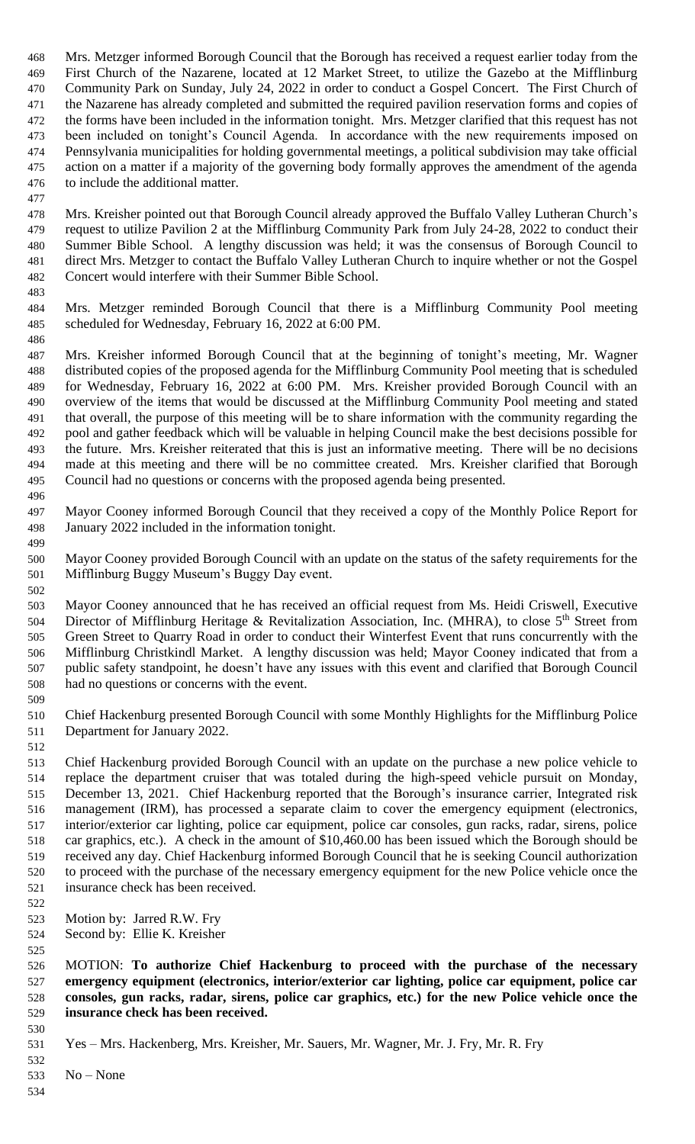Mrs. Metzger informed Borough Council that the Borough has received a request earlier today from the First Church of the Nazarene, located at 12 Market Street, to utilize the Gazebo at the Mifflinburg Community Park on Sunday, July 24, 2022 in order to conduct a Gospel Concert. The First Church of the Nazarene has already completed and submitted the required pavilion reservation forms and copies of the forms have been included in the information tonight. Mrs. Metzger clarified that this request has not been included on tonight's Council Agenda. In accordance with the new requirements imposed on Pennsylvania municipalities for holding governmental meetings, a political subdivision may take official action on a matter if a majority of the governing body formally approves the amendment of the agenda to include the additional matter.

 Mrs. Kreisher pointed out that Borough Council already approved the Buffalo Valley Lutheran Church's request to utilize Pavilion 2 at the Mifflinburg Community Park from July 24-28, 2022 to conduct their Summer Bible School. A lengthy discussion was held; it was the consensus of Borough Council to direct Mrs. Metzger to contact the Buffalo Valley Lutheran Church to inquire whether or not the Gospel Concert would interfere with their Summer Bible School.

 Mrs. Metzger reminded Borough Council that there is a Mifflinburg Community Pool meeting scheduled for Wednesday, February 16, 2022 at 6:00 PM.

- Mrs. Kreisher informed Borough Council that at the beginning of tonight's meeting, Mr. Wagner distributed copies of the proposed agenda for the Mifflinburg Community Pool meeting that is scheduled for Wednesday, February 16, 2022 at 6:00 PM. Mrs. Kreisher provided Borough Council with an overview of the items that would be discussed at the Mifflinburg Community Pool meeting and stated that overall, the purpose of this meeting will be to share information with the community regarding the pool and gather feedback which will be valuable in helping Council make the best decisions possible for the future. Mrs. Kreisher reiterated that this is just an informative meeting. There will be no decisions made at this meeting and there will be no committee created. Mrs. Kreisher clarified that Borough Council had no questions or concerns with the proposed agenda being presented.
- Mayor Cooney informed Borough Council that they received a copy of the Monthly Police Report for January 2022 included in the information tonight.
- Mayor Cooney provided Borough Council with an update on the status of the safety requirements for the Mifflinburg Buggy Museum's Buggy Day event.
- Mayor Cooney announced that he has received an official request from Ms. Heidi Criswell, Executive 504 Director of Mifflinburg Heritage & Revitalization Association, Inc. (MHRA), to close  $5<sup>th</sup>$  Street from Green Street to Quarry Road in order to conduct their Winterfest Event that runs concurrently with the Mifflinburg Christkindl Market. A lengthy discussion was held; Mayor Cooney indicated that from a public safety standpoint, he doesn't have any issues with this event and clarified that Borough Council had no questions or concerns with the event.
- 
- Chief Hackenburg presented Borough Council with some Monthly Highlights for the Mifflinburg Police Department for January 2022.
- 

 Chief Hackenburg provided Borough Council with an update on the purchase a new police vehicle to replace the department cruiser that was totaled during the high-speed vehicle pursuit on Monday, December 13, 2021. Chief Hackenburg reported that the Borough's insurance carrier, Integrated risk management (IRM), has processed a separate claim to cover the emergency equipment (electronics, interior/exterior car lighting, police car equipment, police car consoles, gun racks, radar, sirens, police car graphics, etc.). A check in the amount of \$10,460.00 has been issued which the Borough should be received any day. Chief Hackenburg informed Borough Council that he is seeking Council authorization to proceed with the purchase of the necessary emergency equipment for the new Police vehicle once the insurance check has been received.

- Motion by: Jarred R.W. Fry
- Second by: Ellie K. Kreisher

 MOTION: **To authorize Chief Hackenburg to proceed with the purchase of the necessary emergency equipment (electronics, interior/exterior car lighting, police car equipment, police car consoles, gun racks, radar, sirens, police car graphics, etc.) for the new Police vehicle once the insurance check has been received.**

 No – None

Yes – Mrs. Hackenberg, Mrs. Kreisher, Mr. Sauers, Mr. Wagner, Mr. J. Fry, Mr. R. Fry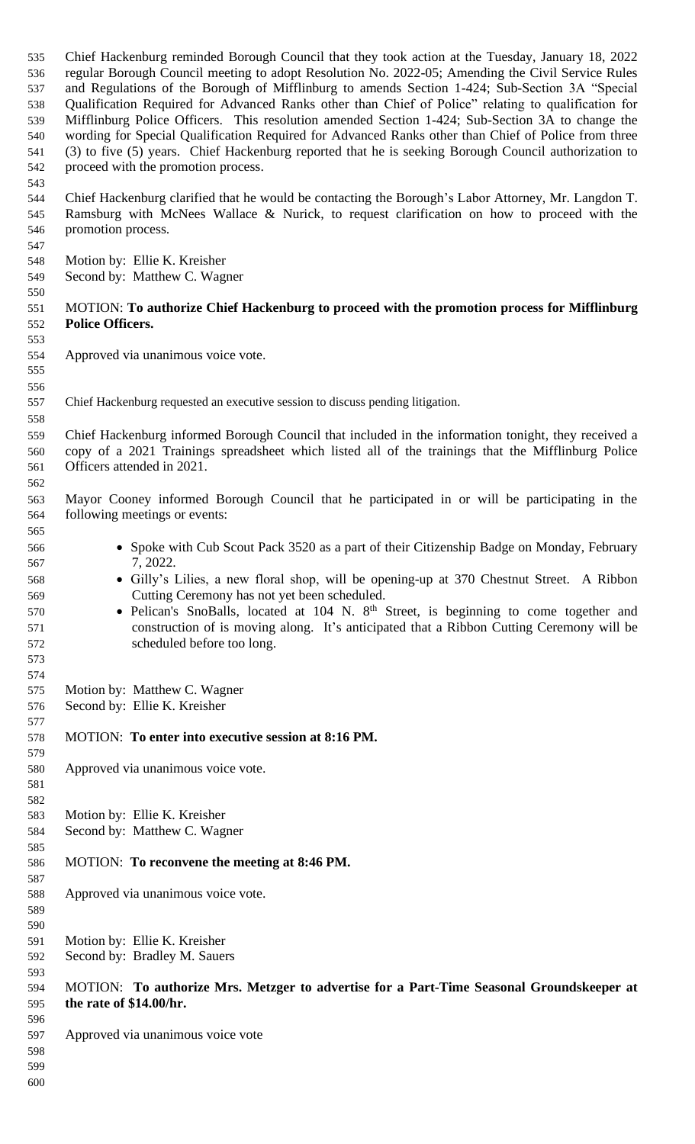Chief Hackenburg reminded Borough Council that they took action at the Tuesday, January 18, 2022 regular Borough Council meeting to adopt Resolution No. 2022-05; Amending the Civil Service Rules and Regulations of the Borough of Mifflinburg to amends Section 1-424; Sub-Section 3A "Special Qualification Required for Advanced Ranks other than Chief of Police" relating to qualification for Mifflinburg Police Officers. This resolution amended Section 1-424; Sub-Section 3A to change the wording for Special Qualification Required for Advanced Ranks other than Chief of Police from three (3) to five (5) years. Chief Hackenburg reported that he is seeking Borough Council authorization to proceed with the promotion process.

 Chief Hackenburg clarified that he would be contacting the Borough's Labor Attorney, Mr. Langdon T. Ramsburg with McNees Wallace & Nurick, to request clarification on how to proceed with the promotion process.

- 
- Motion by: Ellie K. Kreisher
- Second by: Matthew C. Wagner

# MOTION: **To authorize Chief Hackenburg to proceed with the promotion process for Mifflinburg Police Officers.**

- Approved via unanimous voice vote.
- 

Chief Hackenburg requested an executive session to discuss pending litigation.

 Chief Hackenburg informed Borough Council that included in the information tonight, they received a copy of a 2021 Trainings spreadsheet which listed all of the trainings that the Mifflinburg Police Officers attended in 2021.

- Mayor Cooney informed Borough Council that he participated in or will be participating in the following meetings or events:
- Spoke with Cub Scout Pack 3520 as a part of their Citizenship Badge on Monday, February 7, 2022.
- Gilly's Lilies, a new floral shop, will be opening-up at 370 Chestnut Street. A Ribbon Cutting Ceremony has not yet been scheduled.
- Pelican's SnoBalls, located at 104 N. 8<sup>th</sup> Street, is beginning to come together and construction of is moving along. It's anticipated that a Ribbon Cutting Ceremony will be scheduled before too long.
- Motion by: Matthew C. Wagner
- Second by: Ellie K. Kreisher
- MOTION: **To enter into executive session at 8:16 PM.**
- Approved via unanimous voice vote.

#### Motion by: Ellie K. Kreisher

- Second by: Matthew C. Wagner
- MOTION: **To reconvene the meeting at 8:46 PM.**
- Approved via unanimous voice vote.
- 
- 
- Motion by: Ellie K. Kreisher
- Second by: Bradley M. Sauers

# MOTION: **To authorize Mrs. Metzger to advertise for a Part-Time Seasonal Groundskeeper at the rate of \$14.00/hr.**

- Approved via unanimous voice vote
- 
-